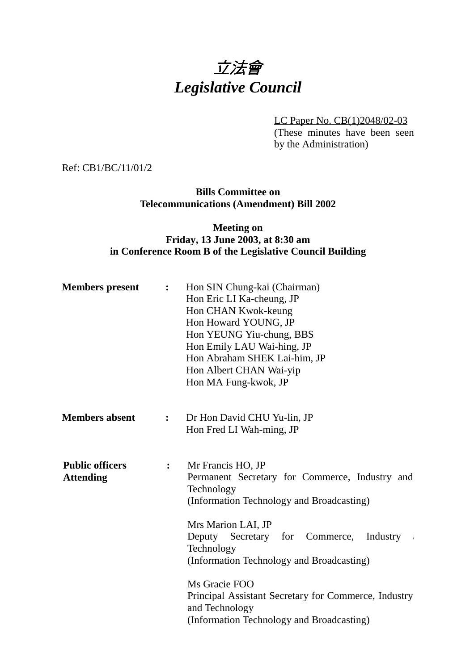# 立法會 *Legislative Council*

LC Paper No. CB(1)2048/02-03

(These minutes have been seen by the Administration)

Ref: CB1/BC/11/01/2

# **Bills Committee on Telecommunications (Amendment) Bill 2002**

# **Meeting on Friday, 13 June 2003, at 8:30 am in Conference Room B of the Legislative Council Building**

| <b>Members</b> present                     | $\ddot{\cdot}$ | Hon SIN Chung-kai (Chairman)<br>Hon Eric LI Ka-cheung, JP<br>Hon CHAN Kwok-keung<br>Hon Howard YOUNG, JP<br>Hon YEUNG Yiu-chung, BBS<br>Hon Emily LAU Wai-hing, JP<br>Hon Abraham SHEK Lai-him, JP<br>Hon Albert CHAN Wai-yip<br>Hon MA Fung-kwok, JP                                                                                                                                                             |
|--------------------------------------------|----------------|-------------------------------------------------------------------------------------------------------------------------------------------------------------------------------------------------------------------------------------------------------------------------------------------------------------------------------------------------------------------------------------------------------------------|
| <b>Members absent</b>                      | $\ddot{\cdot}$ | Dr Hon David CHU Yu-lin, JP<br>Hon Fred LI Wah-ming, JP                                                                                                                                                                                                                                                                                                                                                           |
| <b>Public officers</b><br><b>Attending</b> | :              | Mr Francis HO, JP<br>Permanent Secretary for Commerce, Industry and<br>Technology<br>(Information Technology and Broadcasting)<br>Mrs Marion LAI, JP<br>Deputy Secretary for Commerce,<br>Industry<br>$\sim 4$<br>Technology<br>(Information Technology and Broadcasting)<br>Ms Gracie FOO<br>Principal Assistant Secretary for Commerce, Industry<br>and Technology<br>(Information Technology and Broadcasting) |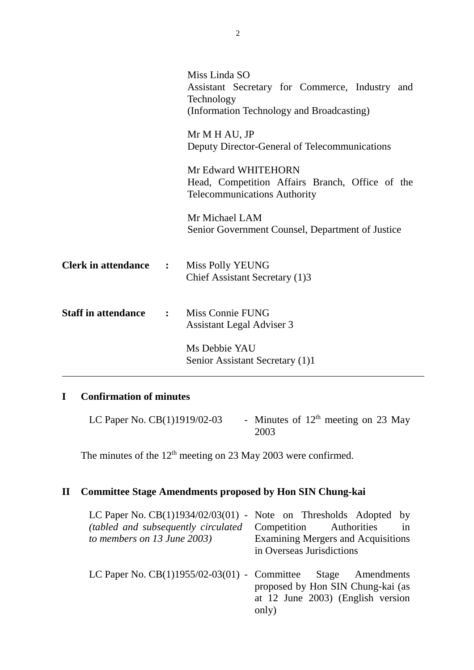|                              |              | Miss Linda SO<br>Assistant Secretary for Commerce, Industry and<br>Technology<br>(Information Technology and Broadcasting) |
|------------------------------|--------------|----------------------------------------------------------------------------------------------------------------------------|
|                              |              | Mr M H AU, JP<br>Deputy Director-General of Telecommunications                                                             |
|                              |              | Mr Edward WHITEHORN<br>Head, Competition Affairs Branch, Office of the<br><b>Telecommunications Authority</b>              |
|                              |              | Mr Michael LAM<br>Senior Government Counsel, Department of Justice                                                         |
| <b>Clerk in attendance :</b> |              | Miss Polly YEUNG<br>Chief Assistant Secretary (1)3                                                                         |
| <b>Staff in attendance</b>   | $\mathbf{L}$ | Miss Connie FUNG<br>Assistant Legal Adviser 3                                                                              |
|                              |              | Ms Debbie YAU<br>Senior Assistant Secretary (1)1                                                                           |

# **I Confirmation of minutes**

LC Paper No. CB(1)1919/02-03 - Minutes of  $12<sup>th</sup>$  meeting on 23 May 2003

The minutes of the  $12<sup>th</sup>$  meeting on 23 May 2003 were confirmed.

# **II Committee Stage Amendments proposed by Hon SIN Chung-kai**

| LC Paper No. $CB(1)1934/02/03(01)$ - Note on Thresholds Adopted by<br>(tabled and subsequently circulated<br>to members on 13 June 2003) | Competition Authorities<br>in<br>Examining Mergers and Acquisitions<br>in Overseas Jurisdictions |
|------------------------------------------------------------------------------------------------------------------------------------------|--------------------------------------------------------------------------------------------------|
| LC Paper No. $CB(1)1955/02-03(01)$ - Committee Stage Amendments                                                                          | proposed by Hon SIN Chung-kai (as<br>at 12 June 2003) (English version<br>only)                  |

2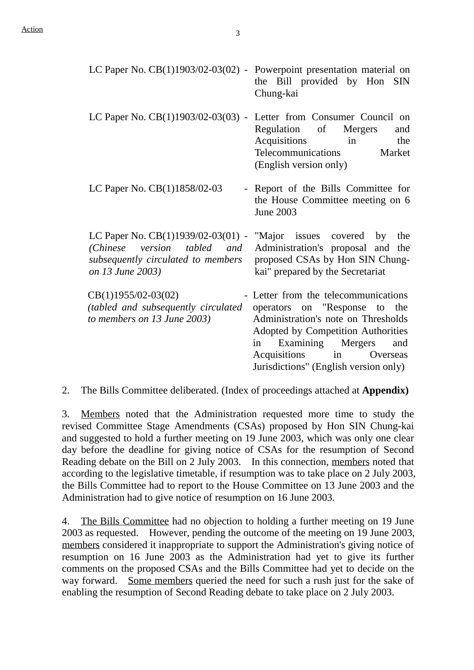| LC Paper No. $CB(1)1903/02-03(02)$ - Powerpoint presentation material on                                                                                                                | the Bill provided by Hon SIN<br>Chung-kai                                                                                                                                                                                                                       |
|-----------------------------------------------------------------------------------------------------------------------------------------------------------------------------------------|-----------------------------------------------------------------------------------------------------------------------------------------------------------------------------------------------------------------------------------------------------------------|
| LC Paper No. $CB(1)1903/02-03(03)$ - Letter from Consumer Council on                                                                                                                    | Regulation of<br>Mergers<br>and<br>Acquisitions<br>in<br>the<br>Telecommunications<br>Market<br>(English version only)                                                                                                                                          |
| LC Paper No. CB(1)1858/02-03                                                                                                                                                            | - Report of the Bills Committee for<br>the House Committee meeting on 6<br>June 2003                                                                                                                                                                            |
| LC Paper No. $CB(1)1939/02-03(01)$ - "Major issues covered by<br>(Chinese version tabled and<br>subsequently circulated to members  proposed CSAs by Hon SIN Chung-<br>on 13 June 2003) | the<br>Administration's proposal and the<br>kai" prepared by the Secretariat                                                                                                                                                                                    |
| $CB(1)1955/02-03(02)$<br>(tabled and subsequently circulated<br>to members on 13 June 2003)                                                                                             | - Letter from the telecommunications<br>operators on "Response to the<br>Administration's note on Thresholds<br>Adopted by Competition Authorities<br>Examining Mergers<br>and<br>in<br>Acquisitions<br>in<br>Overseas<br>Jurisdictions" (English version only) |

2. The Bills Committee deliberated. (Index of proceedings attached at **Appendix)**

3. Members noted that the Administration requested more time to study the revised Committee Stage Amendments (CSAs) proposed by Hon SIN Chung-kai and suggested to hold a further meeting on 19 June 2003, which was only one clear day before the deadline for giving notice of CSAs for the resumption of Second Reading debate on the Bill on 2 July 2003. In this connection, members noted that according to the legislative timetable, if resumption was to take place on 2 July 2003, the Bills Committee had to report to the House Committee on 13 June 2003 and the Administration had to give notice of resumption on 16 June 2003.

4. The Bills Committee had no objection to holding a further meeting on 19 June 2003 as requested. However, pending the outcome of the meeting on 19 June 2003, members considered it inappropriate to support the Administration's giving notice of resumption on 16 June 2003 as the Administration had yet to give its further comments on the proposed CSAs and the Bills Committee had yet to decide on the way forward. Some members queried the need for such a rush just for the sake of enabling the resumption of Second Reading debate to take place on 2 July 2003.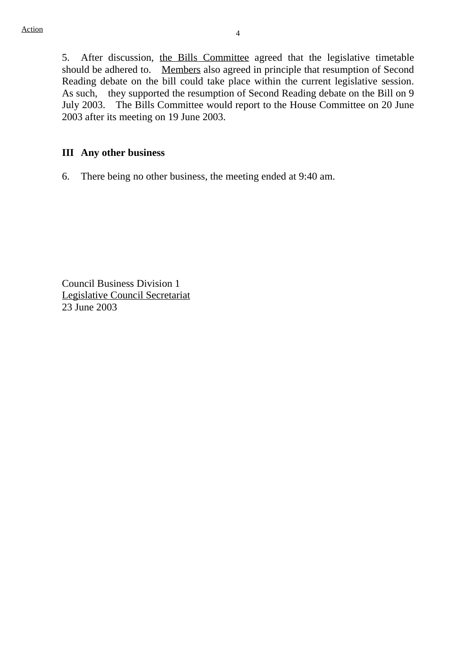5. After discussion, the Bills Committee agreed that the legislative timetable should be adhered to. Members also agreed in principle that resumption of Second Reading debate on the bill could take place within the current legislative session. As such, they supported the resumption of Second Reading debate on the Bill on 9 July 2003. The Bills Committee would report to the House Committee on 20 June 2003 after its meeting on 19 June 2003.

#### **III Any other business**

6. There being no other business, the meeting ended at 9:40 am.

Council Business Division 1 Legislative Council Secretariat 23 June 2003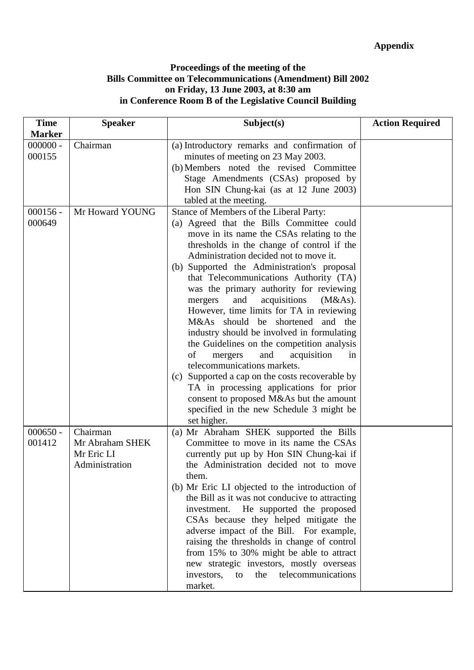### **Proceedings of the meeting of the Bills Committee on Telecommunications (Amendment) Bill 2002 on Friday, 13 June 2003, at 8:30 am in Conference Room B of the Legislative Council Building**

| <b>Time</b>          | <b>Speaker</b>                                  | Subject(s)                                                                                                                                                                                                                                                                                                                                                                                                                                                                                                                                                                                                                                                                                                                                                                                                                        | <b>Action Required</b> |
|----------------------|-------------------------------------------------|-----------------------------------------------------------------------------------------------------------------------------------------------------------------------------------------------------------------------------------------------------------------------------------------------------------------------------------------------------------------------------------------------------------------------------------------------------------------------------------------------------------------------------------------------------------------------------------------------------------------------------------------------------------------------------------------------------------------------------------------------------------------------------------------------------------------------------------|------------------------|
| <b>Marker</b>        |                                                 |                                                                                                                                                                                                                                                                                                                                                                                                                                                                                                                                                                                                                                                                                                                                                                                                                                   |                        |
| $000000 -$<br>000155 | Chairman                                        | (a) Introductory remarks and confirmation of<br>minutes of meeting on 23 May 2003.<br>(b) Members noted the revised Committee<br>Stage Amendments (CSAs) proposed by<br>Hon SIN Chung-kai (as at 12 June 2003)<br>tabled at the meeting.                                                                                                                                                                                                                                                                                                                                                                                                                                                                                                                                                                                          |                        |
| $000156 -$           | Mr Howard YOUNG                                 | Stance of Members of the Liberal Party:                                                                                                                                                                                                                                                                                                                                                                                                                                                                                                                                                                                                                                                                                                                                                                                           |                        |
| 000649               |                                                 | (a) Agreed that the Bills Committee could<br>move in its name the CSAs relating to the<br>thresholds in the change of control if the<br>Administration decided not to move it.<br>(b) Supported the Administration's proposal<br>that Telecommunications Authority (TA)<br>was the primary authority for reviewing<br>and<br>acquisitions<br>mergers<br>(M&As).<br>However, time limits for TA in reviewing<br>M&As should be shortened<br>and the<br>industry should be involved in formulating<br>the Guidelines on the competition analysis<br>of<br>and<br>acquisition<br>mergers<br>in<br>telecommunications markets.<br>Supported a cap on the costs recoverable by<br>(c)<br>TA in processing applications for prior<br>consent to proposed M&As but the amount<br>specified in the new Schedule 3 might be<br>set higher. |                        |
| $000650 -$           | Chairman                                        | (a) Mr Abraham SHEK supported the Bills                                                                                                                                                                                                                                                                                                                                                                                                                                                                                                                                                                                                                                                                                                                                                                                           |                        |
| 001412               | Mr Abraham SHEK<br>Mr Eric LI<br>Administration | Committee to move in its name the CSAs<br>currently put up by Hon SIN Chung-kai if<br>the Administration decided not to move<br>them.<br>(b) Mr Eric LI objected to the introduction of<br>the Bill as it was not conducive to attracting<br>He supported the proposed<br>investment.<br>CSAs because they helped mitigate the<br>adverse impact of the Bill. For example,<br>raising the thresholds in change of control<br>from 15% to 30% might be able to attract<br>new strategic investors, mostly overseas<br>telecommunications<br>investors,<br>the<br>to<br>market.                                                                                                                                                                                                                                                     |                        |